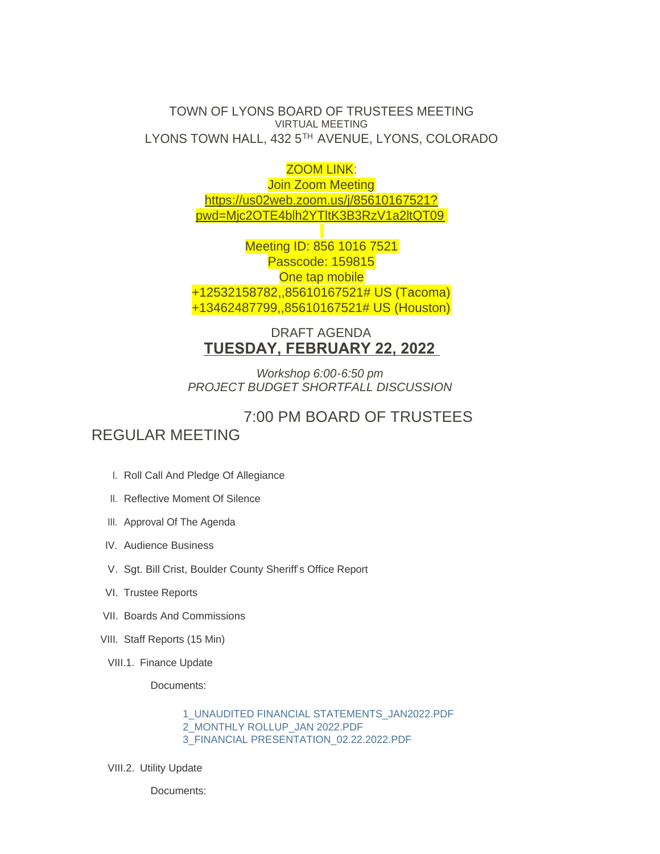TOWN OF LYONS BOARD OF TRUSTEES MEETING VIRTUAL MEETING LYONS TOWN HALL, 432 5TH AVENUE, LYONS, COLORADO

ZOOM LINK:

Join Zoom Meeting [https://us02web.zoom.us/j/85610167521?](https://us02web.zoom.us/j/85610167521?pwd=Mjc2OTE4blh2YTltK3B3RzV1a2ltQT09) pwd=Mjc2OTE4blh2YTltK3B3RzV1a2ltQT09

Meeting ID: 856 1016 7521 Passcode: 159815 One tap mobile +12532158782,,85610167521# US (Tacoma) +13462487799,,85610167521# US (Houston)

## DRAFT AGENDA **TUESDAY, FEBRUARY 22, 2022**

*Workshop 6:00-6:50 pm PROJECT BUDGET SHORTFALL DISCUSSION*

## 7:00 PM BOARD OF TRUSTEES REGULAR MEETING

- I. Roll Call And Pledge Of Allegiance
- II. Reflective Moment Of Silence
- III. Approval Of The Agenda
- IV. Audience Business
- V. Sgt. Bill Crist, Boulder County Sheriff's Office Report
- VI. Trustee Reports
- VII. Boards And Commissions
- VIII. Staff Reports (15 Min)
- VIII.1. Finance Update

Documents:

[1\\_UNAUDITED FINANCIAL STATEMENTS\\_JAN2022.PDF](https://www.townoflyons.com/AgendaCenter/ViewFile/Item/9857?fileID=20403) [2\\_MONTHLY ROLLUP\\_JAN 2022.PDF](https://www.townoflyons.com/AgendaCenter/ViewFile/Item/9857?fileID=20404) [3\\_FINANCIAL PRESENTATION\\_02.22.2022.PDF](https://www.townoflyons.com/AgendaCenter/ViewFile/Item/9857?fileID=20405)

VIII.2. Utility Update

Documents: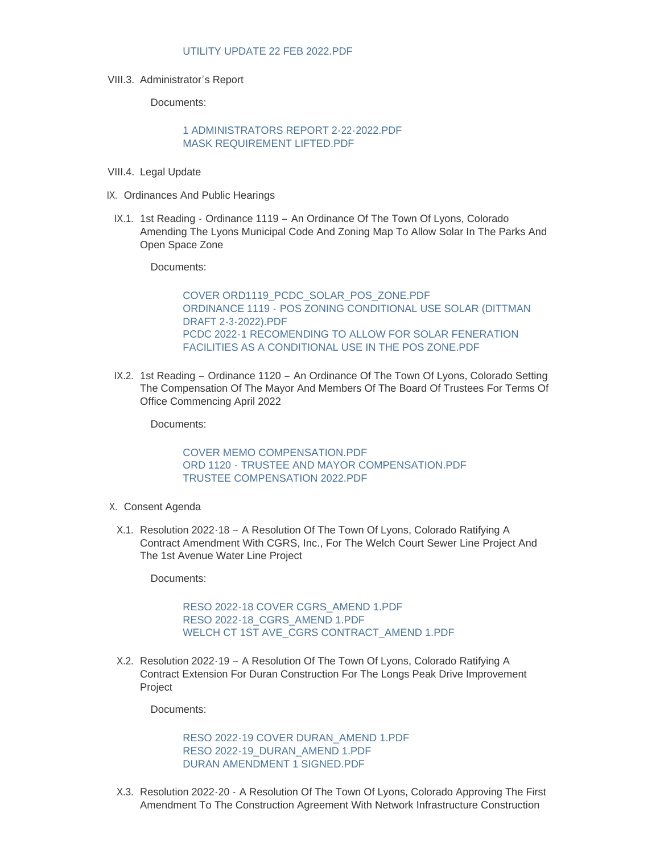VIII.3. Administrator's Report

Documents:

## [1 ADMINISTRATORS REPORT 2-22-2022.PDF](https://www.townoflyons.com/AgendaCenter/ViewFile/Item/9859?fileID=20443) [MASK REQUIREMENT LIFTED.PDF](https://www.townoflyons.com/AgendaCenter/ViewFile/Item/9859?fileID=20444)

- VIII.4. Legal Update
- IX. Ordinances And Public Hearings
- IX.1. 1st Reading Ordinance 1119 An Ordinance Of The Town Of Lyons, Colorado Amending The Lyons Municipal Code And Zoning Map To Allow Solar In The Parks And Open Space Zone

Documents:

[COVER ORD1119\\_PCDC\\_SOLAR\\_POS\\_ZONE.PDF](https://www.townoflyons.com/AgendaCenter/ViewFile/Item/9861?fileID=20406) ORDINANCE 1119 - [POS ZONING CONDITIONAL USE SOLAR \(DITTMAN](https://www.townoflyons.com/AgendaCenter/ViewFile/Item/9861?fileID=20407)  DRAFT 2-3-2022).PDF [PCDC 2022-1 RECOMENDING TO ALLOW FOR SOLAR FENERATION](https://www.townoflyons.com/AgendaCenter/ViewFile/Item/9861?fileID=20408)  FACILITIES AS A CONDITIONAL USE IN THE POS ZONE.PDF

IX.2. 1st Reading – Ordinance 1120 – An Ordinance Of The Town Of Lyons, Colorado Setting The Compensation Of The Mayor And Members Of The Board Of Trustees For Terms Of Office Commencing April 2022

Documents:

[COVER MEMO COMPENSATION.PDF](https://www.townoflyons.com/AgendaCenter/ViewFile/Item/9862?fileID=20446) ORD 1120 - [TRUSTEE AND MAYOR COMPENSATION.PDF](https://www.townoflyons.com/AgendaCenter/ViewFile/Item/9862?fileID=20447) [TRUSTEE COMPENSATION 2022.PDF](https://www.townoflyons.com/AgendaCenter/ViewFile/Item/9862?fileID=20448)

- X. Consent Agenda
- X.1. Resolution 2022-18 A Resolution Of The Town Of Lyons, Colorado Ratifying A Contract Amendment With CGRS, Inc., For The Welch Court Sewer Line Project And The 1st Avenue Water Line Project

Documents:

[RESO 2022-18 COVER CGRS\\_AMEND 1.PDF](https://www.townoflyons.com/AgendaCenter/ViewFile/Item/9863?fileID=20409) [RESO 2022-18\\_CGRS\\_AMEND 1.PDF](https://www.townoflyons.com/AgendaCenter/ViewFile/Item/9863?fileID=20410) [WELCH CT 1ST AVE\\_CGRS CONTRACT\\_AMEND 1.PDF](https://www.townoflyons.com/AgendaCenter/ViewFile/Item/9863?fileID=20411)

X.2. Resolution 2022-19 – A Resolution Of The Town Of Lyons, Colorado Ratifying A Contract Extension For Duran Construction For The Longs Peak Drive Improvement Project

Documents:

[RESO 2022-19 COVER DURAN\\_AMEND 1.PDF](https://www.townoflyons.com/AgendaCenter/ViewFile/Item/9864?fileID=20412) [RESO 2022-19\\_DURAN\\_AMEND 1.PDF](https://www.townoflyons.com/AgendaCenter/ViewFile/Item/9864?fileID=20413) [DURAN AMENDMENT 1 SIGNED.PDF](https://www.townoflyons.com/AgendaCenter/ViewFile/Item/9864?fileID=20414)

Resolution 2022-20 - A Resolution Of The Town Of Lyons, Colorado Approving The First X.3. Amendment To The Construction Agreement With Network Infrastructure Construction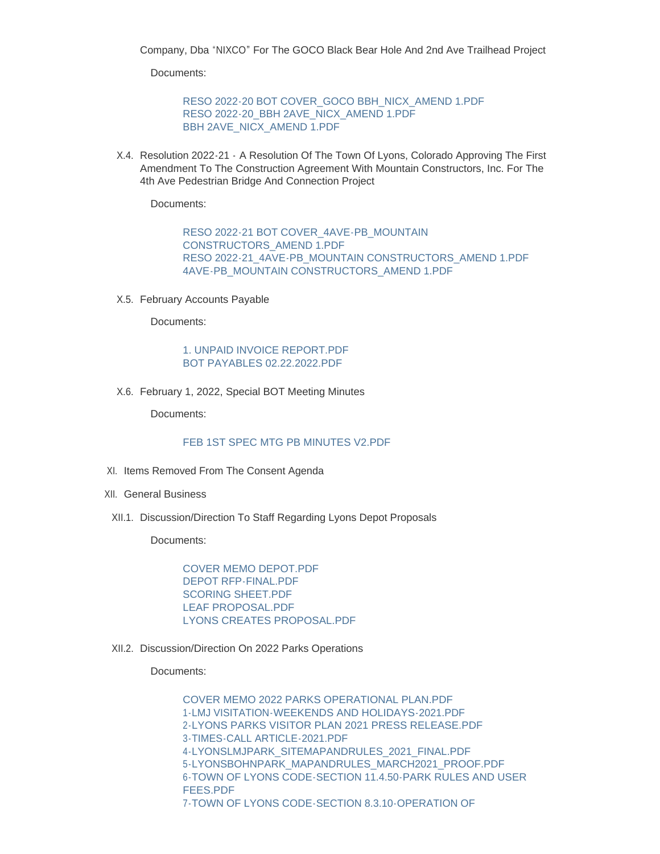$A$ ment To The Construction Agreement With Network Infrastructure Construction Agreement  $C$ Company, Dba "NIXCO" For The GOCO Black Bear Hole And 2nd Ave Trailhead Project

Documents:

[RESO 2022-20 BOT COVER\\_GOCO BBH\\_NICX\\_AMEND 1.PDF](https://www.townoflyons.com/AgendaCenter/ViewFile/Item/9865?fileID=20415) [RESO 2022-20\\_BBH 2AVE\\_NICX\\_AMEND 1.PDF](https://www.townoflyons.com/AgendaCenter/ViewFile/Item/9865?fileID=20416) [BBH 2AVE\\_NICX\\_AMEND 1.PDF](https://www.townoflyons.com/AgendaCenter/ViewFile/Item/9865?fileID=20417)

Resolution 2022-21 - A Resolution Of The Town Of Lyons, Colorado Approving The First X.4. Amendment To The Construction Agreement With Mountain Constructors, Inc. For The 4th Ave Pedestrian Bridge And Connection Project

Documents:

[RESO 2022-21 BOT COVER\\_4AVE-PB\\_MOUNTAIN](https://www.townoflyons.com/AgendaCenter/ViewFile/Item/9866?fileID=20418)  CONSTRUCTORS\_AMEND 1.PDF [RESO 2022-21\\_4AVE-PB\\_MOUNTAIN CONSTRUCTORS\\_AMEND 1.PDF](https://www.townoflyons.com/AgendaCenter/ViewFile/Item/9866?fileID=20419) [4AVE-PB\\_MOUNTAIN CONSTRUCTORS\\_AMEND 1.PDF](https://www.townoflyons.com/AgendaCenter/ViewFile/Item/9866?fileID=20420)

X.5. February Accounts Payable

Documents:

[1. UNPAID INVOICE REPORT.PDF](https://www.townoflyons.com/AgendaCenter/ViewFile/Item/9867?fileID=20421) [BOT PAYABLES 02.22.2022.PDF](https://www.townoflyons.com/AgendaCenter/ViewFile/Item/9867?fileID=20422)

X.6. February 1, 2022, Special BOT Meeting Minutes

Documents:

## [FEB 1ST SPEC MTG PB MINUTES V2.PDF](https://www.townoflyons.com/AgendaCenter/ViewFile/Item/9868?fileID=20423)

- XI. Items Removed From The Consent Agenda
- XII. General Business
- XII.1. Discussion/Direction To Staff Regarding Lyons Depot Proposals

Documents:

[COVER MEMO DEPOT.PDF](https://www.townoflyons.com/AgendaCenter/ViewFile/Item/9870?fileID=20424) [DEPOT RFP-FINAL.PDF](https://www.townoflyons.com/AgendaCenter/ViewFile/Item/9870?fileID=20425) [SCORING SHEET.PDF](https://www.townoflyons.com/AgendaCenter/ViewFile/Item/9870?fileID=20426) [LEAF PROPOSAL.PDF](https://www.townoflyons.com/AgendaCenter/ViewFile/Item/9870?fileID=20427) [LYONS CREATES PROPOSAL.PDF](https://www.townoflyons.com/AgendaCenter/ViewFile/Item/9870?fileID=20428)

XII.2. Discussion/Direction On 2022 Parks Operations

Documents:

[COVER MEMO 2022 PARKS OPERATIONAL PLAN.PDF](https://www.townoflyons.com/AgendaCenter/ViewFile/Item/9871?fileID=20430) [1-LMJ VISITATION-WEEKENDS AND HOLIDAYS-2021.PDF](https://www.townoflyons.com/AgendaCenter/ViewFile/Item/9871?fileID=20431) [2-LYONS PARKS VISITOR PLAN 2021 PRESS RELEASE.PDF](https://www.townoflyons.com/AgendaCenter/ViewFile/Item/9871?fileID=20432) [3-TIMES-CALL ARTICLE-2021.PDF](https://www.townoflyons.com/AgendaCenter/ViewFile/Item/9871?fileID=20433) [4-LYONSLMJPARK\\_SITEMAPANDRULES\\_2021\\_FINAL.PDF](https://www.townoflyons.com/AgendaCenter/ViewFile/Item/9871?fileID=20434) [5-LYONSBOHNPARK\\_MAPANDRULES\\_MARCH2021\\_PROOF.PDF](https://www.townoflyons.com/AgendaCenter/ViewFile/Item/9871?fileID=20435) [6-TOWN OF LYONS CODE-SECTION 11.4.50-PARK RULES AND USER](https://www.townoflyons.com/AgendaCenter/ViewFile/Item/9871?fileID=20436)  FEES.PDF [7-TOWN OF LYONS CODE-SECTION 8.3.10-OPERATION OF](https://www.townoflyons.com/AgendaCenter/ViewFile/Item/9871?fileID=20437)